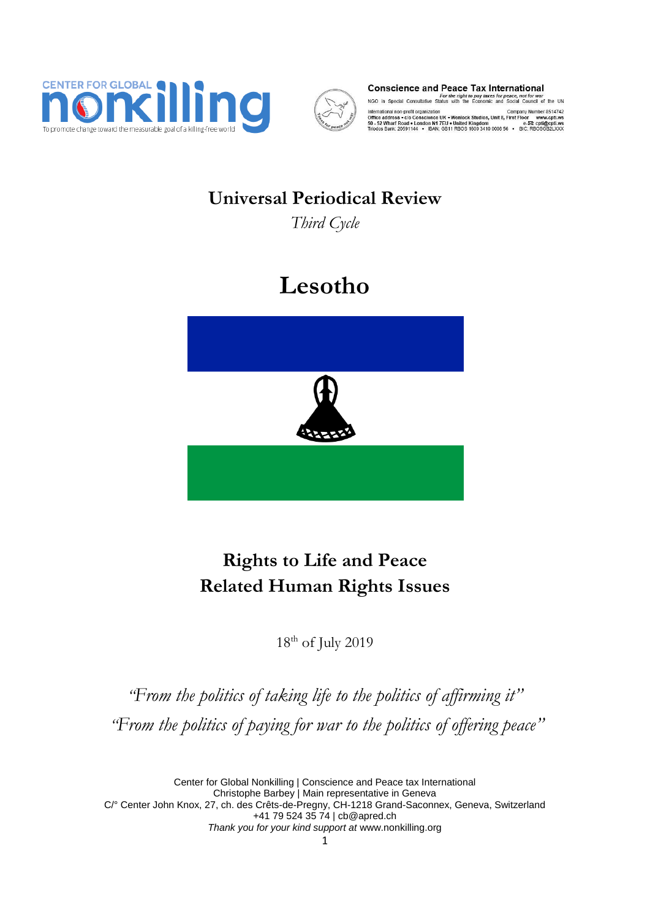



**Conscience and Peace Tax International**<br>For the right to pay taxes for peace, not for war<br>NGO in Special Consultative Status with the Economic and Social Council of the UN

International non-profit organization<br>Office address • c/o Conscience UK • Wenlock Studios, Unit 8, First Floor www.cpti.ws<br>50 - 52 Wharf Road • London N1 7EU + United Kingdom<br>Triodos Bank: 20591144 • IBAN: 0811 RBOS 1600

# **Universal Periodical Review**

*Third Cycle*

# **Lesotho**



# **Rights to Life and Peace Related Human Rights Issues**

18th of July 2019

*"From the politics of taking life to the politics of affirming it" "From the politics of paying for war to the politics of offering peace"*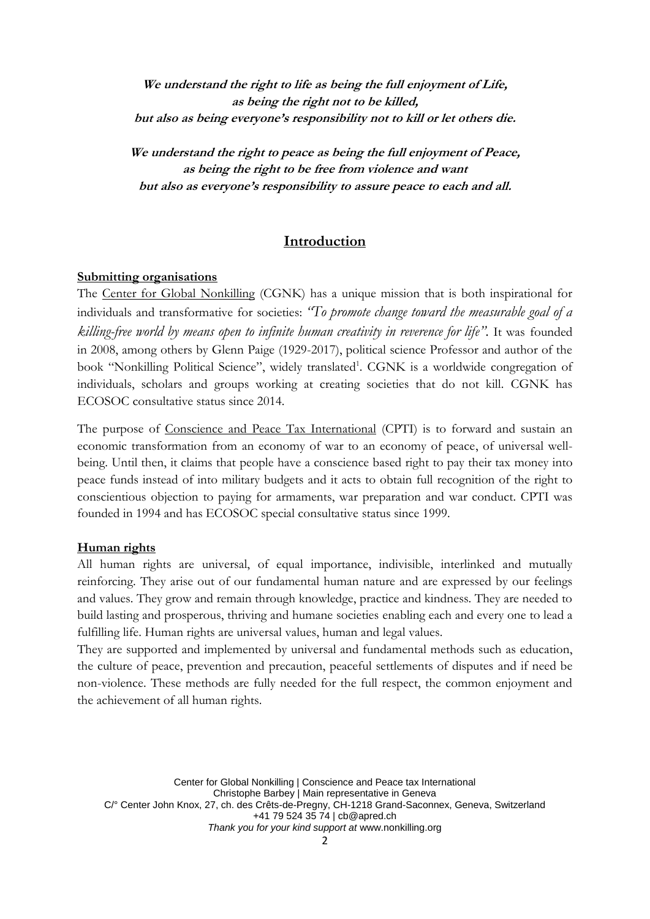**We understand the right to life as being the full enjoyment of Life, as being the right not to be killed, but also as being everyone's responsibility not to kill or let others die.**

**We understand the right to peace as being the full enjoyment of Peace, as being the right to be free from violence and want but also as everyone's responsibility to assure peace to each and all.**

#### **Introduction**

#### **Submitting organisations**

The Center for Global Nonkilling (CGNK) has a unique mission that is both inspirational for individuals and transformative for societies: *"To promote change toward the measurable goal of a killing-free world by means open to infinite human creativity in reverence for life".* It was founded in 2008, among others by Glenn Paige (1929-2017), political science Professor and author of the book "Nonkilling Political Science", widely translated<sup>1</sup>. CGNK is a worldwide congregation of individuals, scholars and groups working at creating societies that do not kill. CGNK has ECOSOC consultative status since 2014.

The purpose of Conscience and Peace Tax International (CPTI) is to forward and sustain an economic transformation from an economy of war to an economy of peace, of universal wellbeing. Until then, it claims that people have a conscience based right to pay their tax money into peace funds instead of into military budgets and it acts to obtain full recognition of the right to conscientious objection to paying for armaments, war preparation and war conduct. CPTI was founded in 1994 and has ECOSOC special consultative status since 1999.

#### **Human rights**

All human rights are universal, of equal importance, indivisible, interlinked and mutually reinforcing. They arise out of our fundamental human nature and are expressed by our feelings and values. They grow and remain through knowledge, practice and kindness. They are needed to build lasting and prosperous, thriving and humane societies enabling each and every one to lead a fulfilling life. Human rights are universal values, human and legal values.

They are supported and implemented by universal and fundamental methods such as education, the culture of peace, prevention and precaution, peaceful settlements of disputes and if need be non-violence. These methods are fully needed for the full respect, the common enjoyment and the achievement of all human rights.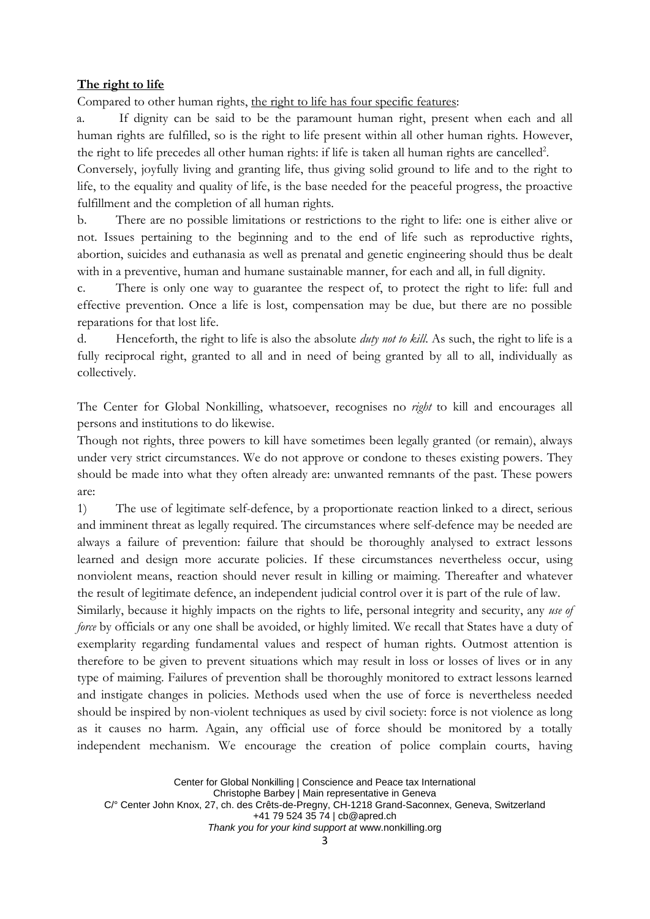#### **The right to life**

Compared to other human rights, the right to life has four specific features:

a. If dignity can be said to be the paramount human right, present when each and all human rights are fulfilled, so is the right to life present within all other human rights. However, the right to life precedes all other human rights: if life is taken all human rights are cancelled<sup>2</sup>.

Conversely, joyfully living and granting life, thus giving solid ground to life and to the right to life, to the equality and quality of life, is the base needed for the peaceful progress, the proactive fulfillment and the completion of all human rights.

b. There are no possible limitations or restrictions to the right to life: one is either alive or not. Issues pertaining to the beginning and to the end of life such as reproductive rights, abortion, suicides and euthanasia as well as prenatal and genetic engineering should thus be dealt with in a preventive, human and humane sustainable manner, for each and all, in full dignity.

c. There is only one way to guarantee the respect of, to protect the right to life: full and effective prevention. Once a life is lost, compensation may be due, but there are no possible reparations for that lost life.

d. Henceforth, the right to life is also the absolute *duty not to kill*. As such, the right to life is a fully reciprocal right, granted to all and in need of being granted by all to all, individually as collectively.

The Center for Global Nonkilling, whatsoever, recognises no *right* to kill and encourages all persons and institutions to do likewise.

Though not rights, three powers to kill have sometimes been legally granted (or remain), always under very strict circumstances. We do not approve or condone to theses existing powers. They should be made into what they often already are: unwanted remnants of the past. These powers are:

1) The use of legitimate self-defence, by a proportionate reaction linked to a direct, serious and imminent threat as legally required. The circumstances where self-defence may be needed are always a failure of prevention: failure that should be thoroughly analysed to extract lessons learned and design more accurate policies. If these circumstances nevertheless occur, using nonviolent means, reaction should never result in killing or maiming. Thereafter and whatever the result of legitimate defence, an independent judicial control over it is part of the rule of law.

Similarly, because it highly impacts on the rights to life, personal integrity and security, any *use of force* by officials or any one shall be avoided, or highly limited. We recall that States have a duty of exemplarity regarding fundamental values and respect of human rights. Outmost attention is therefore to be given to prevent situations which may result in loss or losses of lives or in any type of maiming. Failures of prevention shall be thoroughly monitored to extract lessons learned and instigate changes in policies. Methods used when the use of force is nevertheless needed should be inspired by non-violent techniques as used by civil society: force is not violence as long as it causes no harm. Again, any official use of force should be monitored by a totally independent mechanism. We encourage the creation of police complain courts, having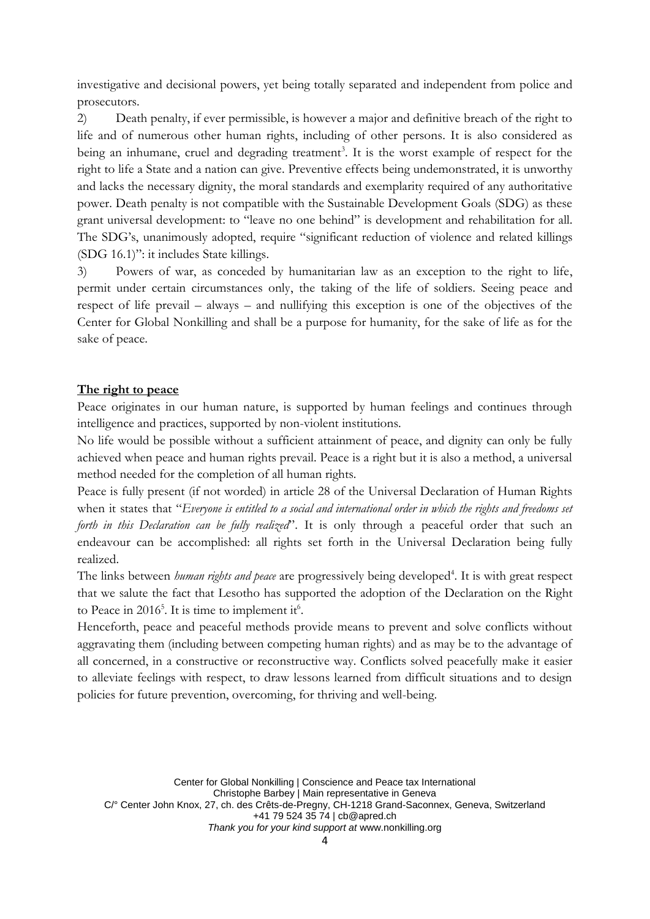investigative and decisional powers, yet being totally separated and independent from police and prosecutors.

2) Death penalty, if ever permissible, is however a major and definitive breach of the right to life and of numerous other human rights, including of other persons. It is also considered as being an inhumane, cruel and degrading treatment<sup>3</sup>. It is the worst example of respect for the right to life a State and a nation can give. Preventive effects being undemonstrated, it is unworthy and lacks the necessary dignity, the moral standards and exemplarity required of any authoritative power. Death penalty is not compatible with the Sustainable Development Goals (SDG) as these grant universal development: to "leave no one behind" is development and rehabilitation for all. The SDG's, unanimously adopted, require "significant reduction of violence and related killings (SDG 16.1)": it includes State killings.

3) Powers of war, as conceded by humanitarian law as an exception to the right to life, permit under certain circumstances only, the taking of the life of soldiers. Seeing peace and respect of life prevail – always – and nullifying this exception is one of the objectives of the Center for Global Nonkilling and shall be a purpose for humanity, for the sake of life as for the sake of peace.

#### **The right to peace**

Peace originates in our human nature, is supported by human feelings and continues through intelligence and practices, supported by non-violent institutions.

No life would be possible without a sufficient attainment of peace, and dignity can only be fully achieved when peace and human rights prevail. Peace is a right but it is also a method, a universal method needed for the completion of all human rights.

Peace is fully present (if not worded) in article 28 of the Universal Declaration of Human Rights when it states that "*Everyone is entitled to a social and international order in which the rights and freedoms set forth in this Declaration can be fully realized*". It is only through a peaceful order that such an endeavour can be accomplished: all rights set forth in the Universal Declaration being fully realized.

The links between *human rights and peace* are progressively being developed<sup>4</sup>. It is with great respect that we salute the fact that Lesotho has supported the adoption of the Declaration on the Right to Peace in 2016<sup>5</sup>. It is time to implement it<sup>6</sup>.

Henceforth, peace and peaceful methods provide means to prevent and solve conflicts without aggravating them (including between competing human rights) and as may be to the advantage of all concerned, in a constructive or reconstructive way. Conflicts solved peacefully make it easier to alleviate feelings with respect, to draw lessons learned from difficult situations and to design policies for future prevention, overcoming, for thriving and well-being.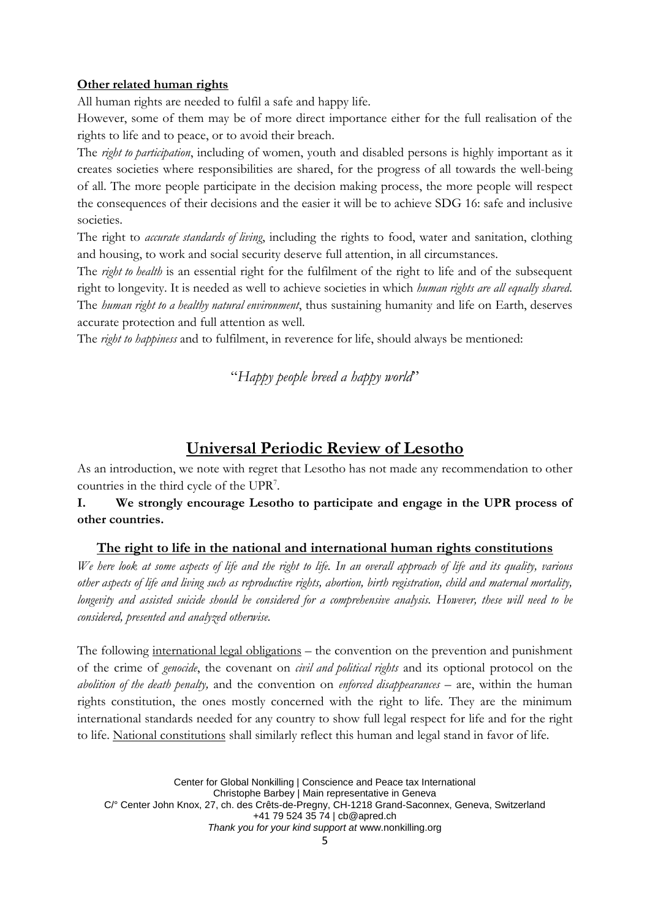#### **Other related human rights**

All human rights are needed to fulfil a safe and happy life.

However, some of them may be of more direct importance either for the full realisation of the rights to life and to peace, or to avoid their breach.

The *right to participation*, including of women, youth and disabled persons is highly important as it creates societies where responsibilities are shared, for the progress of all towards the well-being of all. The more people participate in the decision making process, the more people will respect the consequences of their decisions and the easier it will be to achieve SDG 16: safe and inclusive societies.

The right to *accurate standards of living*, including the rights to food, water and sanitation, clothing and housing, to work and social security deserve full attention, in all circumstances.

The *right to health* is an essential right for the fulfilment of the right to life and of the subsequent right to longevity. It is needed as well to achieve societies in which *human rights are all equally shared*. The *human right to a healthy natural environment*, thus sustaining humanity and life on Earth, deserves accurate protection and full attention as well.

The *right to happiness* and to fulfilment, in reverence for life, should always be mentioned:

# "*Happy people breed a happy world*"

# **Universal Periodic Review of Lesotho**

As an introduction, we note with regret that Lesotho has not made any recommendation to other countries in the third cycle of the UPR<sup>7</sup>.

**I. We strongly encourage Lesotho to participate and engage in the UPR process of other countries.**

#### **The right to life in the national and international human rights constitutions**

*We here look at some aspects of life and the right to life. In an overall approach of life and its quality, various other aspects of life and living such as reproductive rights, abortion, birth registration, child and maternal mortality, longevity and assisted suicide should be considered for a comprehensive analysis. However, these will need to be considered, presented and analyzed otherwise.*

The following international legal obligations – the convention on the prevention and punishment of the crime of *genocide*, the covenant on *civil and political rights* and its optional protocol on the *abolition of the death penalty,* and the convention on *enforced disappearances* – are, within the human rights constitution, the ones mostly concerned with the right to life. They are the minimum international standards needed for any country to show full legal respect for life and for the right to life. National constitutions shall similarly reflect this human and legal stand in favor of life.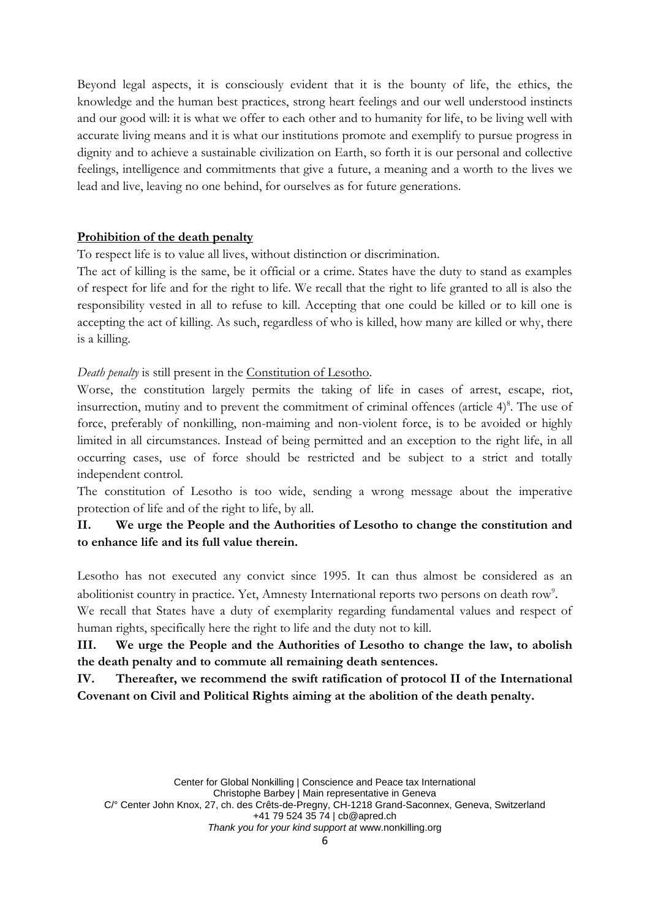Beyond legal aspects, it is consciously evident that it is the bounty of life, the ethics, the knowledge and the human best practices, strong heart feelings and our well understood instincts and our good will: it is what we offer to each other and to humanity for life, to be living well with accurate living means and it is what our institutions promote and exemplify to pursue progress in dignity and to achieve a sustainable civilization on Earth, so forth it is our personal and collective feelings, intelligence and commitments that give a future, a meaning and a worth to the lives we lead and live, leaving no one behind, for ourselves as for future generations.

#### **Prohibition of the death penalty**

To respect life is to value all lives, without distinction or discrimination.

The act of killing is the same, be it official or a crime. States have the duty to stand as examples of respect for life and for the right to life. We recall that the right to life granted to all is also the responsibility vested in all to refuse to kill. Accepting that one could be killed or to kill one is accepting the act of killing. As such, regardless of who is killed, how many are killed or why, there is a killing.

#### *Death penalty* is still present in the Constitution of Lesotho.

Worse, the constitution largely permits the taking of life in cases of arrest, escape, riot, insurrection, mutiny and to prevent the commitment of criminal offences (article  $4)$ <sup>8</sup>. The use of force, preferably of nonkilling, non-maiming and non-violent force, is to be avoided or highly limited in all circumstances. Instead of being permitted and an exception to the right life, in all occurring cases, use of force should be restricted and be subject to a strict and totally independent control.

The constitution of Lesotho is too wide, sending a wrong message about the imperative protection of life and of the right to life, by all.

# **II. We urge the People and the Authorities of Lesotho to change the constitution and to enhance life and its full value therein.**

Lesotho has not executed any convict since 1995. It can thus almost be considered as an abolitionist country in practice. Yet, Amnesty International reports two persons on death row<sup>9</sup>.

We recall that States have a duty of exemplarity regarding fundamental values and respect of human rights, specifically here the right to life and the duty not to kill.

**III. We urge the People and the Authorities of Lesotho to change the law, to abolish the death penalty and to commute all remaining death sentences.**

**IV. Thereafter, we recommend the swift ratification of protocol II of the International Covenant on Civil and Political Rights aiming at the abolition of the death penalty.**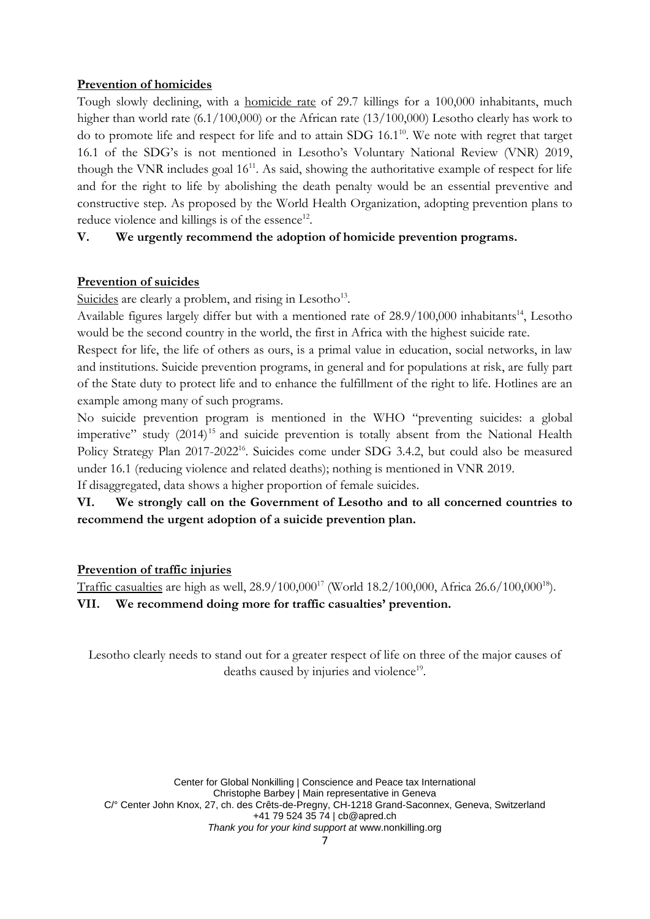#### **Prevention of homicides**

Tough slowly declining, with a homicide rate of 29.7 killings for a 100,000 inhabitants, much higher than world rate (6.1/100,000) or the African rate (13/100,000) Lesotho clearly has work to do to promote life and respect for life and to attain SDG 16.1<sup>10</sup>. We note with regret that target 16.1 of the SDG's is not mentioned in Lesotho's Voluntary National Review (VNR) 2019, though the VNR includes goal  $16^{11}$ . As said, showing the authoritative example of respect for life and for the right to life by abolishing the death penalty would be an essential preventive and constructive step. As proposed by the World Health Organization, adopting prevention plans to reduce violence and killings is of the essence<sup>12</sup>.

# **V. We urgently recommend the adoption of homicide prevention programs.**

# **Prevention of suicides**

Suicides are clearly a problem, and rising in Lesotho<sup>13</sup>.

Available figures largely differ but with a mentioned rate of  $28.9/100,000$  inhabitants<sup>14</sup>, Lesotho would be the second country in the world, the first in Africa with the highest suicide rate.

Respect for life, the life of others as ours, is a primal value in education, social networks, in law and institutions. Suicide prevention programs, in general and for populations at risk, are fully part of the State duty to protect life and to enhance the fulfillment of the right to life. Hotlines are an example among many of such programs.

No suicide prevention program is mentioned in the WHO "preventing suicides: a global imperative" study  $(2014)^{15}$  and suicide prevention is totally absent from the National Health Policy Strategy Plan 2017-2022<sup>16</sup>. Suicides come under SDG 3.4.2, but could also be measured under 16.1 (reducing violence and related deaths); nothing is mentioned in VNR 2019. If disaggregated, data shows a higher proportion of female suicides.

# **VI. We strongly call on the Government of Lesotho and to all concerned countries to recommend the urgent adoption of a suicide prevention plan.**

# **Prevention of traffic injuries**

Traffic casualties are high as well,  $28.9/100,000^{17}$  (World  $18.2/100,000$ , Africa  $26.6/100,000^{18}$ ). **VII. We recommend doing more for traffic casualties' prevention.**

Lesotho clearly needs to stand out for a greater respect of life on three of the major causes of deaths caused by injuries and violence<sup>19</sup>.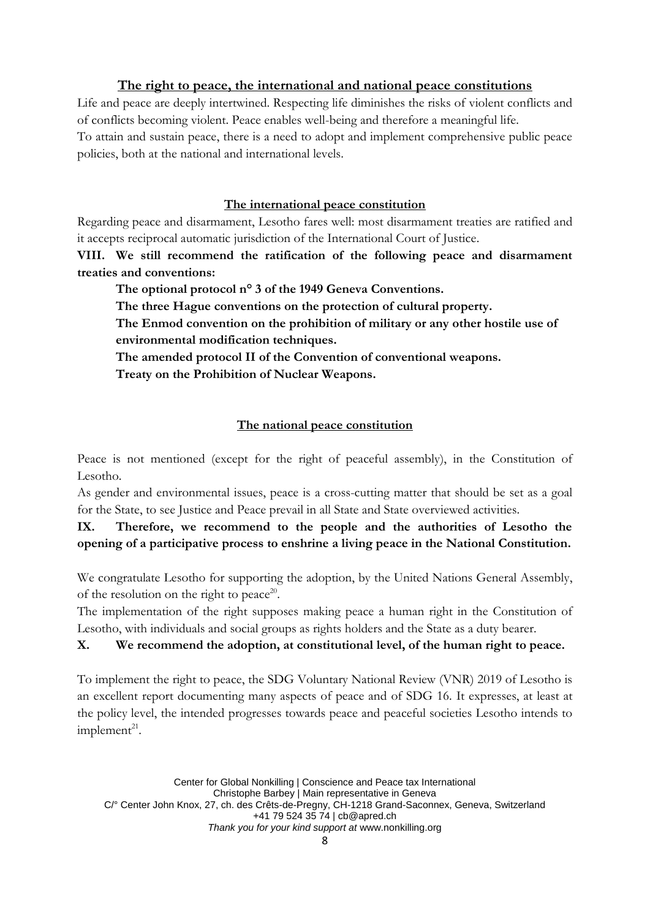#### **The right to peace, the international and national peace constitutions**

Life and peace are deeply intertwined. Respecting life diminishes the risks of violent conflicts and of conflicts becoming violent. Peace enables well-being and therefore a meaningful life. To attain and sustain peace, there is a need to adopt and implement comprehensive public peace policies, both at the national and international levels.

#### **The international peace constitution**

Regarding peace and disarmament, Lesotho fares well: most disarmament treaties are ratified and it accepts reciprocal automatic jurisdiction of the International Court of Justice.

**VIII. We still recommend the ratification of the following peace and disarmament treaties and conventions:**

**The optional protocol n° 3 of the 1949 Geneva Conventions.**

**The three Hague conventions on the protection of cultural property.**

**The Enmod convention on the prohibition of military or any other hostile use of environmental modification techniques.**

**The amended protocol II of the Convention of conventional weapons.**

**Treaty on the Prohibition of Nuclear Weapons.**

# **The national peace constitution**

Peace is not mentioned (except for the right of peaceful assembly), in the Constitution of Lesotho.

As gender and environmental issues, peace is a cross-cutting matter that should be set as a goal for the State, to see Justice and Peace prevail in all State and State overviewed activities.

**IX. Therefore, we recommend to the people and the authorities of Lesotho the opening of a participative process to enshrine a living peace in the National Constitution.**

We congratulate Lesotho for supporting the adoption, by the United Nations General Assembly, of the resolution on the right to peace<sup>20</sup>.

The implementation of the right supposes making peace a human right in the Constitution of Lesotho, with individuals and social groups as rights holders and the State as a duty bearer.

# **X. We recommend the adoption, at constitutional level, of the human right to peace.**

To implement the right to peace, the SDG Voluntary National Review (VNR) 2019 of Lesotho is an excellent report documenting many aspects of peace and of SDG 16. It expresses, at least at the policy level, the intended progresses towards peace and peaceful societies Lesotho intends to  $implement<sup>21</sup>$ .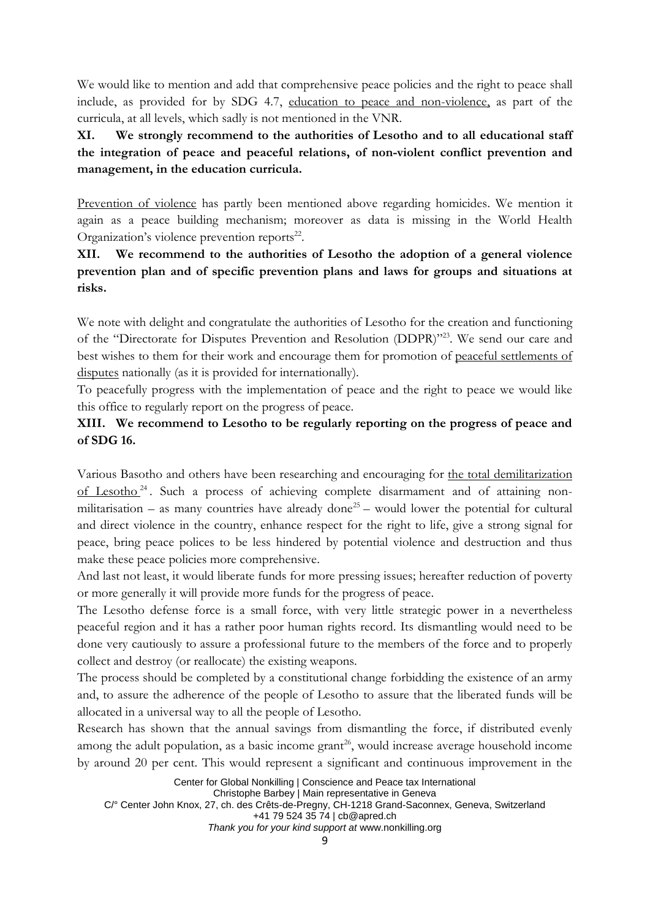We would like to mention and add that comprehensive peace policies and the right to peace shall include, as provided for by SDG 4.7, education to peace and non-violence, as part of the curricula, at all levels, which sadly is not mentioned in the VNR.

**XI. We strongly recommend to the authorities of Lesotho and to all educational staff the integration of peace and peaceful relations, of non-violent conflict prevention and management, in the education curricula.**

Prevention of violence has partly been mentioned above regarding homicides. We mention it again as a peace building mechanism; moreover as data is missing in the World Health Organization's violence prevention reports<sup>22</sup>.

**XII. We recommend to the authorities of Lesotho the adoption of a general violence prevention plan and of specific prevention plans and laws for groups and situations at risks.**

We note with delight and congratulate the authorities of Lesotho for the creation and functioning of the "Directorate for Disputes Prevention and Resolution (DDPR)"23. We send our care and best wishes to them for their work and encourage them for promotion of peaceful settlements of disputes nationally (as it is provided for internationally).

To peacefully progress with the implementation of peace and the right to peace we would like this office to regularly report on the progress of peace.

# **XIII. We recommend to Lesotho to be regularly reporting on the progress of peace and of SDG 16.**

Various Basotho and others have been researching and encouraging for the total demilitarization of Lesotho <sup>24</sup> . Such a process of achieving complete disarmament and of attaining nonmilitarisation – as many countries have already done<sup>25</sup> – would lower the potential for cultural and direct violence in the country, enhance respect for the right to life, give a strong signal for peace, bring peace polices to be less hindered by potential violence and destruction and thus make these peace policies more comprehensive.

And last not least, it would liberate funds for more pressing issues; hereafter reduction of poverty or more generally it will provide more funds for the progress of peace.

The Lesotho defense force is a small force, with very little strategic power in a nevertheless peaceful region and it has a rather poor human rights record. Its dismantling would need to be done very cautiously to assure a professional future to the members of the force and to properly collect and destroy (or reallocate) the existing weapons.

The process should be completed by a constitutional change forbidding the existence of an army and, to assure the adherence of the people of Lesotho to assure that the liberated funds will be allocated in a universal way to all the people of Lesotho.

Research has shown that the annual savings from dismantling the force, if distributed evenly among the adult population, as a basic income grant<sup>26</sup>, would increase average household income by around 20 per cent. This would represent a significant and continuous improvement in the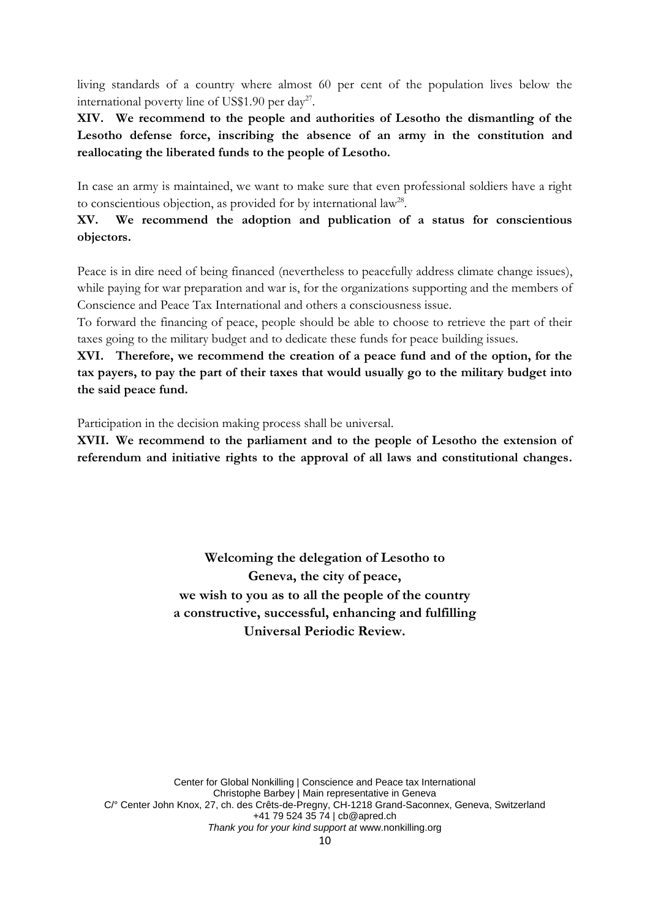living standards of a country where almost 60 per cent of the population lives below the international poverty line of US\$1.90 per day<sup>27</sup>.

**XIV. We recommend to the people and authorities of Lesotho the dismantling of the Lesotho defense force, inscribing the absence of an army in the constitution and reallocating the liberated funds to the people of Lesotho.**

In case an army is maintained, we want to make sure that even professional soldiers have a right to conscientious objection, as provided for by international law<sup>28</sup>.

**XV. We recommend the adoption and publication of a status for conscientious objectors.**

Peace is in dire need of being financed (nevertheless to peacefully address climate change issues), while paying for war preparation and war is, for the organizations supporting and the members of Conscience and Peace Tax International and others a consciousness issue.

To forward the financing of peace, people should be able to choose to retrieve the part of their taxes going to the military budget and to dedicate these funds for peace building issues.

**XVI. Therefore, we recommend the creation of a peace fund and of the option, for the tax payers, to pay the part of their taxes that would usually go to the military budget into the said peace fund.**

Participation in the decision making process shall be universal.

**XVII. We recommend to the parliament and to the people of Lesotho the extension of referendum and initiative rights to the approval of all laws and constitutional changes.**

> **Welcoming the delegation of Lesotho to Geneva, the city of peace, we wish to you as to all the people of the country a constructive, successful, enhancing and fulfilling Universal Periodic Review.**